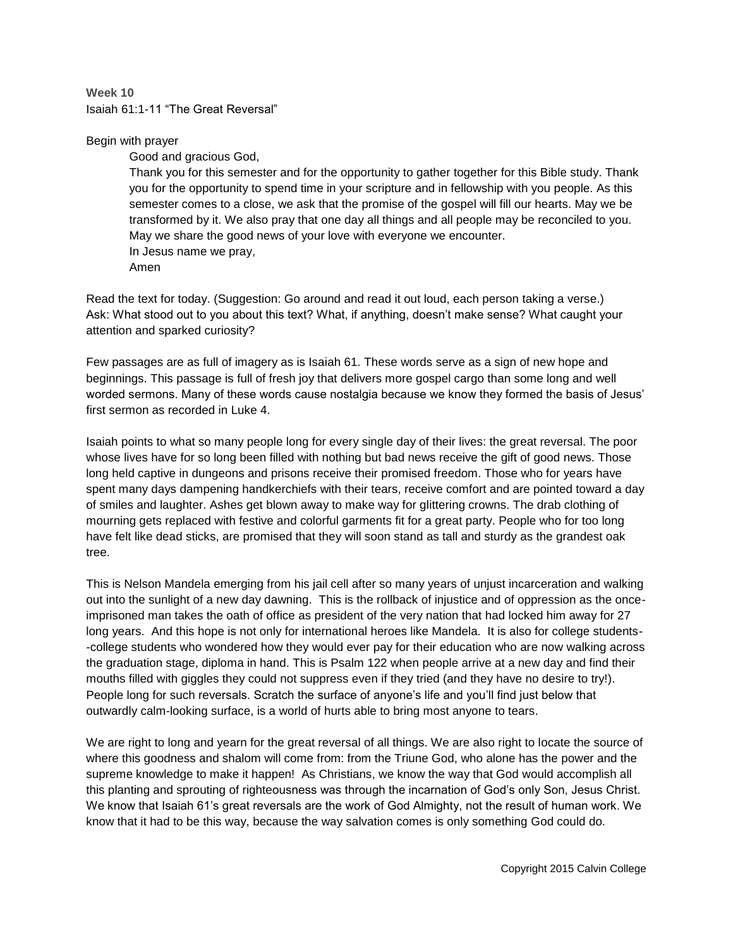**Week 10** Isaiah 61:1-11 "The Great Reversal"

## Begin with prayer

Good and gracious God,

Thank you for this semester and for the opportunity to gather together for this Bible study. Thank you for the opportunity to spend time in your scripture and in fellowship with you people. As this semester comes to a close, we ask that the promise of the gospel will fill our hearts. May we be transformed by it. We also pray that one day all things and all people may be reconciled to you. May we share the good news of your love with everyone we encounter. In Jesus name we pray, Amen

Read the text for today. (Suggestion: Go around and read it out loud, each person taking a verse.) Ask: What stood out to you about this text? What, if anything, doesn't make sense? What caught your attention and sparked curiosity?

Few passages are as full of imagery as is Isaiah 61. These words serve as a sign of new hope and beginnings. This passage is full of fresh joy that delivers more gospel cargo than some long and well worded sermons. Many of these words cause nostalgia because we know they formed the basis of Jesus' first sermon as recorded in Luke 4.

Isaiah points to what so many people long for every single day of their lives: the great reversal. The poor whose lives have for so long been filled with nothing but bad news receive the gift of good news. Those long held captive in dungeons and prisons receive their promised freedom. Those who for years have spent many days dampening handkerchiefs with their tears, receive comfort and are pointed toward a day of smiles and laughter. Ashes get blown away to make way for glittering crowns. The drab clothing of mourning gets replaced with festive and colorful garments fit for a great party. People who for too long have felt like dead sticks, are promised that they will soon stand as tall and sturdy as the grandest oak tree.

This is Nelson Mandela emerging from his jail cell after so many years of unjust incarceration and walking out into the sunlight of a new day dawning. This is the rollback of injustice and of oppression as the onceimprisoned man takes the oath of office as president of the very nation that had locked him away for 27 long years. And this hope is not only for international heroes like Mandela. It is also for college students- -college students who wondered how they would ever pay for their education who are now walking across the graduation stage, diploma in hand. This is Psalm 122 when people arrive at a new day and find their mouths filled with giggles they could not suppress even if they tried (and they have no desire to try!). People long for such reversals. Scratch the surface of anyone's life and you'll find just below that outwardly calm-looking surface, is a world of hurts able to bring most anyone to tears.

We are right to long and yearn for the great reversal of all things. We are also right to locate the source of where this goodness and shalom will come from: from the Triune God, who alone has the power and the supreme knowledge to make it happen! As Christians, we know the way that God would accomplish all this planting and sprouting of righteousness was through the incarnation of God's only Son, Jesus Christ. We know that Isaiah 61's great reversals are the work of God Almighty, not the result of human work. We know that it had to be this way, because the way salvation comes is only something God could do.